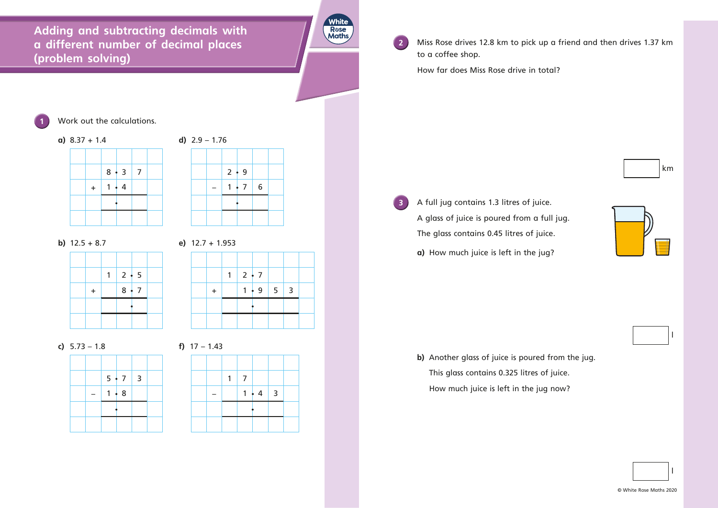**Adding and subtracting decimals with a different number of decimal places (problem solving)**







**b)** 12.5 + 8.7 **e)** 12.7 + 1.953

**2** Miss Rose drives 12.8 km to pick up a friend and then drives 1.37 km to a coffee shop.





**c)** 5.73 – 1.8 **f)** 17 – 1.43



|  | $\overline{7}$ |               |  |
|--|----------------|---------------|--|
|  |                | $1 \cdot 4$ 3 |  |
|  |                |               |  |
|  |                |               |  |

**3** A full jug contains 1.3 litres of juice. A glass of juice is poured from a full jug. The glass contains 0.45 litres of juice. **a)** How much juice is left in the jug?

How far does Miss Rose drive in total?

**Work out the calculations.** 



**b)** Another glass of juice is poured from the jug. This glass contains 0.325 litres of juice. How much juice is left in the jug now?

© White Rose Maths 2020